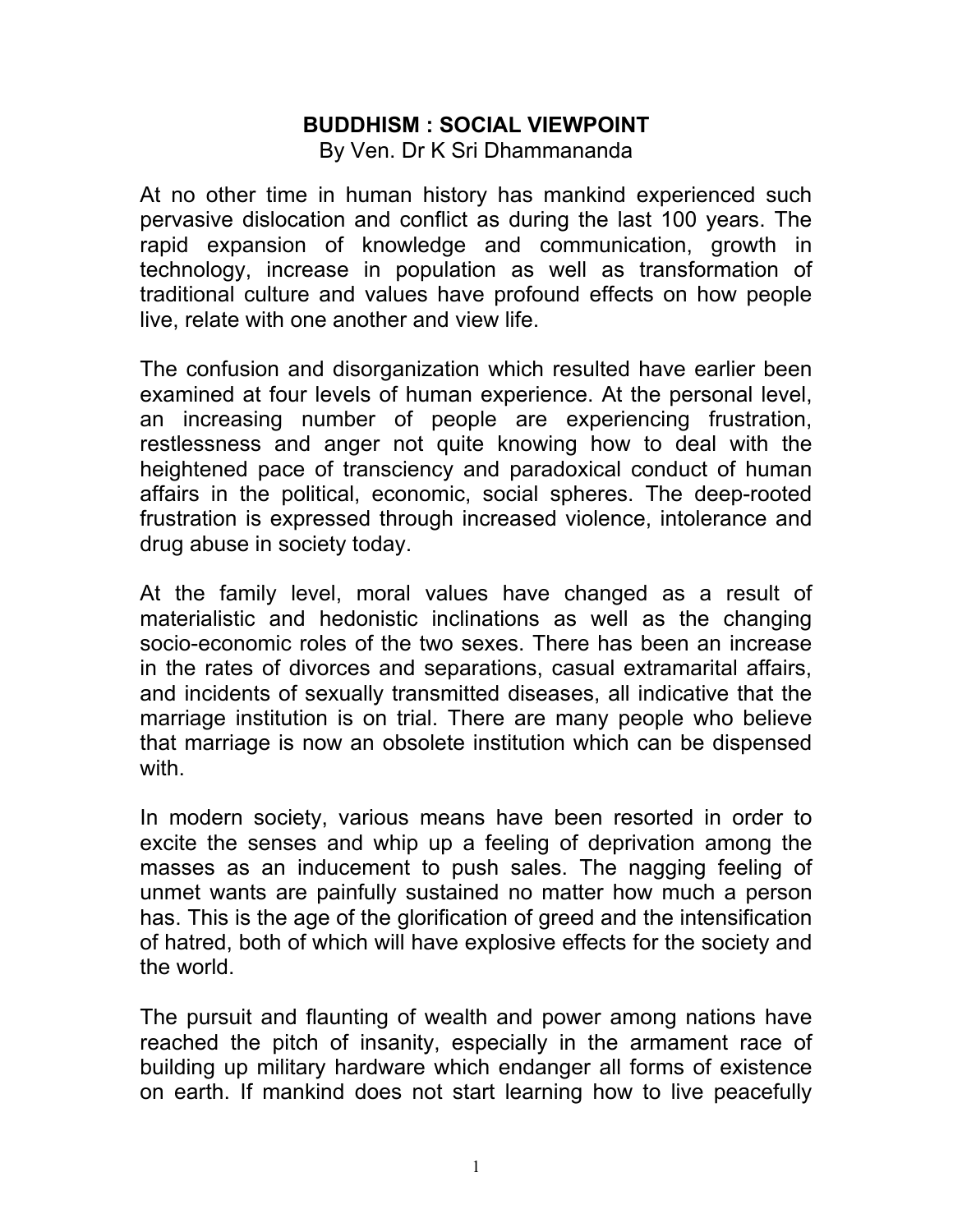# **BUDDHISM : SOCIAL VIEWPOINT**

By Ven. Dr K Sri Dhammananda

At no other time in human history has mankind experienced such pervasive dislocation and conflict as during the last 100 years. The rapid expansion of knowledge and communication, growth in technology, increase in population as well as transformation of traditional culture and values have profound effects on how people live, relate with one another and view life.

The confusion and disorganization which resulted have earlier been examined at four levels of human experience. At the personal level, an increasing number of people are experiencing frustration, restlessness and anger not quite knowing how to deal with the heightened pace of transciency and paradoxical conduct of human affairs in the political, economic, social spheres. The deep-rooted frustration is expressed through increased violence, intolerance and drug abuse in society today.

At the family level, moral values have changed as a result of materialistic and hedonistic inclinations as well as the changing socio-economic roles of the two sexes. There has been an increase in the rates of divorces and separations, casual extramarital affairs, and incidents of sexually transmitted diseases, all indicative that the marriage institution is on trial. There are many people who believe that marriage is now an obsolete institution which can be dispensed with

In modern society, various means have been resorted in order to excite the senses and whip up a feeling of deprivation among the masses as an inducement to push sales. The nagging feeling of unmet wants are painfully sustained no matter how much a person has. This is the age of the glorification of greed and the intensification of hatred, both of which will have explosive effects for the society and the world.

The pursuit and flaunting of wealth and power among nations have reached the pitch of insanity, especially in the armament race of building up military hardware which endanger all forms of existence on earth. If mankind does not start learning how to live peacefully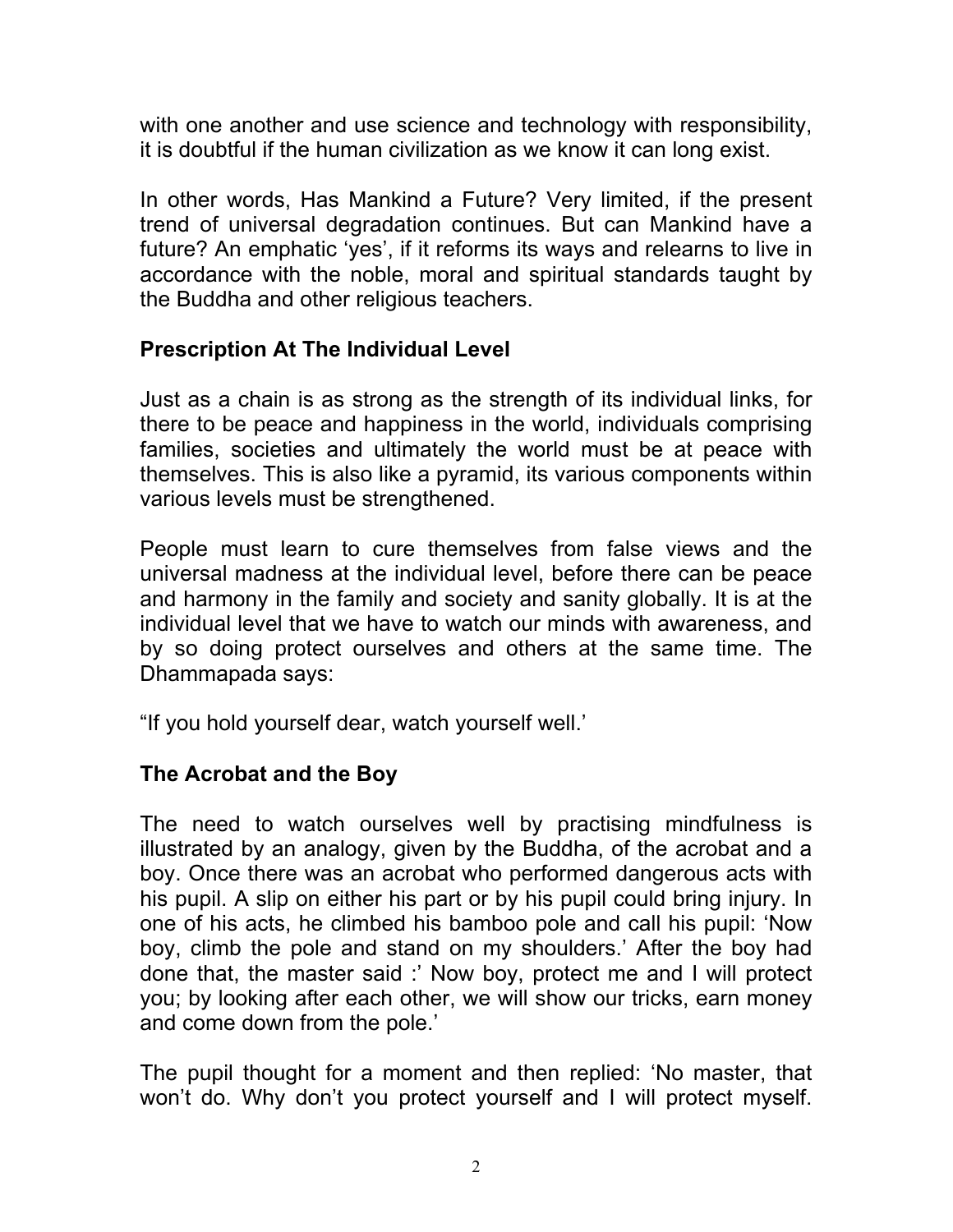with one another and use science and technology with responsibility, it is doubtful if the human civilization as we know it can long exist.

In other words, Has Mankind a Future? Very limited, if the present trend of universal degradation continues. But can Mankind have a future? An emphatic 'yes', if it reforms its ways and relearns to live in accordance with the noble, moral and spiritual standards taught by the Buddha and other religious teachers.

## **Prescription At The Individual Level**

Just as a chain is as strong as the strength of its individual links, for there to be peace and happiness in the world, individuals comprising families, societies and ultimately the world must be at peace with themselves. This is also like a pyramid, its various components within various levels must be strengthened.

People must learn to cure themselves from false views and the universal madness at the individual level, before there can be peace and harmony in the family and society and sanity globally. It is at the individual level that we have to watch our minds with awareness, and by so doing protect ourselves and others at the same time. The Dhammapada says:

"If you hold yourself dear, watch yourself well.'

# **The Acrobat and the Boy**

The need to watch ourselves well by practising mindfulness is illustrated by an analogy, given by the Buddha, of the acrobat and a boy. Once there was an acrobat who performed dangerous acts with his pupil. A slip on either his part or by his pupil could bring injury. In one of his acts, he climbed his bamboo pole and call his pupil: 'Now boy, climb the pole and stand on my shoulders.' After the boy had done that, the master said :' Now boy, protect me and I will protect you; by looking after each other, we will show our tricks, earn money and come down from the pole.'

The pupil thought for a moment and then replied: 'No master, that won't do. Why don't you protect yourself and I will protect myself.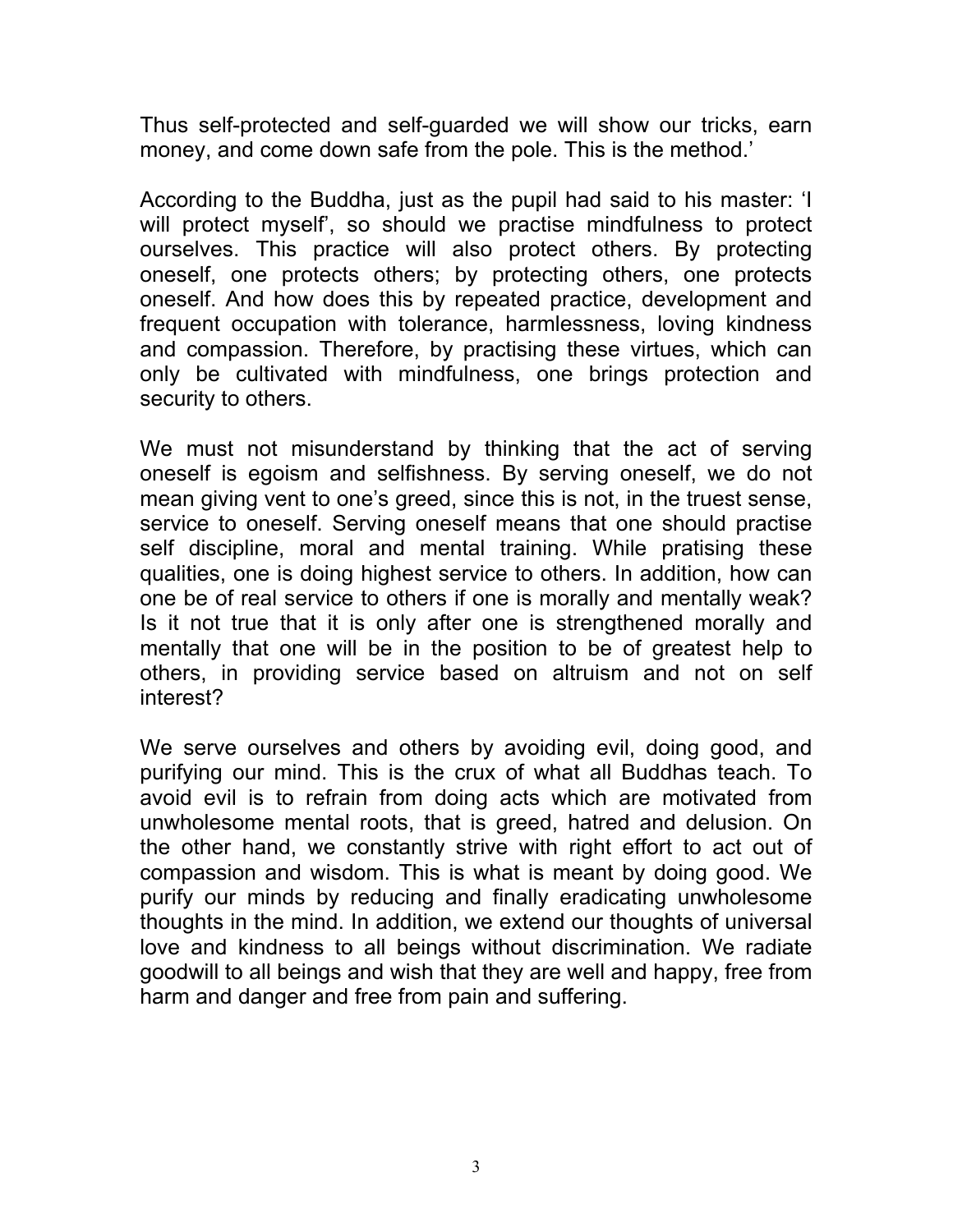Thus self-protected and self-guarded we will show our tricks, earn money, and come down safe from the pole. This is the method.'

According to the Buddha, just as the pupil had said to his master: 'I will protect myself', so should we practise mindfulness to protect ourselves. This practice will also protect others. By protecting oneself, one protects others; by protecting others, one protects oneself. And how does this by repeated practice, development and frequent occupation with tolerance, harmlessness, loving kindness and compassion. Therefore, by practising these virtues, which can only be cultivated with mindfulness, one brings protection and security to others.

We must not misunderstand by thinking that the act of serving oneself is egoism and selfishness. By serving oneself, we do not mean giving vent to one's greed, since this is not, in the truest sense, service to oneself. Serving oneself means that one should practise self discipline, moral and mental training. While pratising these qualities, one is doing highest service to others. In addition, how can one be of real service to others if one is morally and mentally weak? Is it not true that it is only after one is strengthened morally and mentally that one will be in the position to be of greatest help to others, in providing service based on altruism and not on self interest?

We serve ourselves and others by avoiding evil, doing good, and purifying our mind. This is the crux of what all Buddhas teach. To avoid evil is to refrain from doing acts which are motivated from unwholesome mental roots, that is greed, hatred and delusion. On the other hand, we constantly strive with right effort to act out of compassion and wisdom. This is what is meant by doing good. We purify our minds by reducing and finally eradicating unwholesome thoughts in the mind. In addition, we extend our thoughts of universal love and kindness to all beings without discrimination. We radiate goodwill to all beings and wish that they are well and happy, free from harm and danger and free from pain and suffering.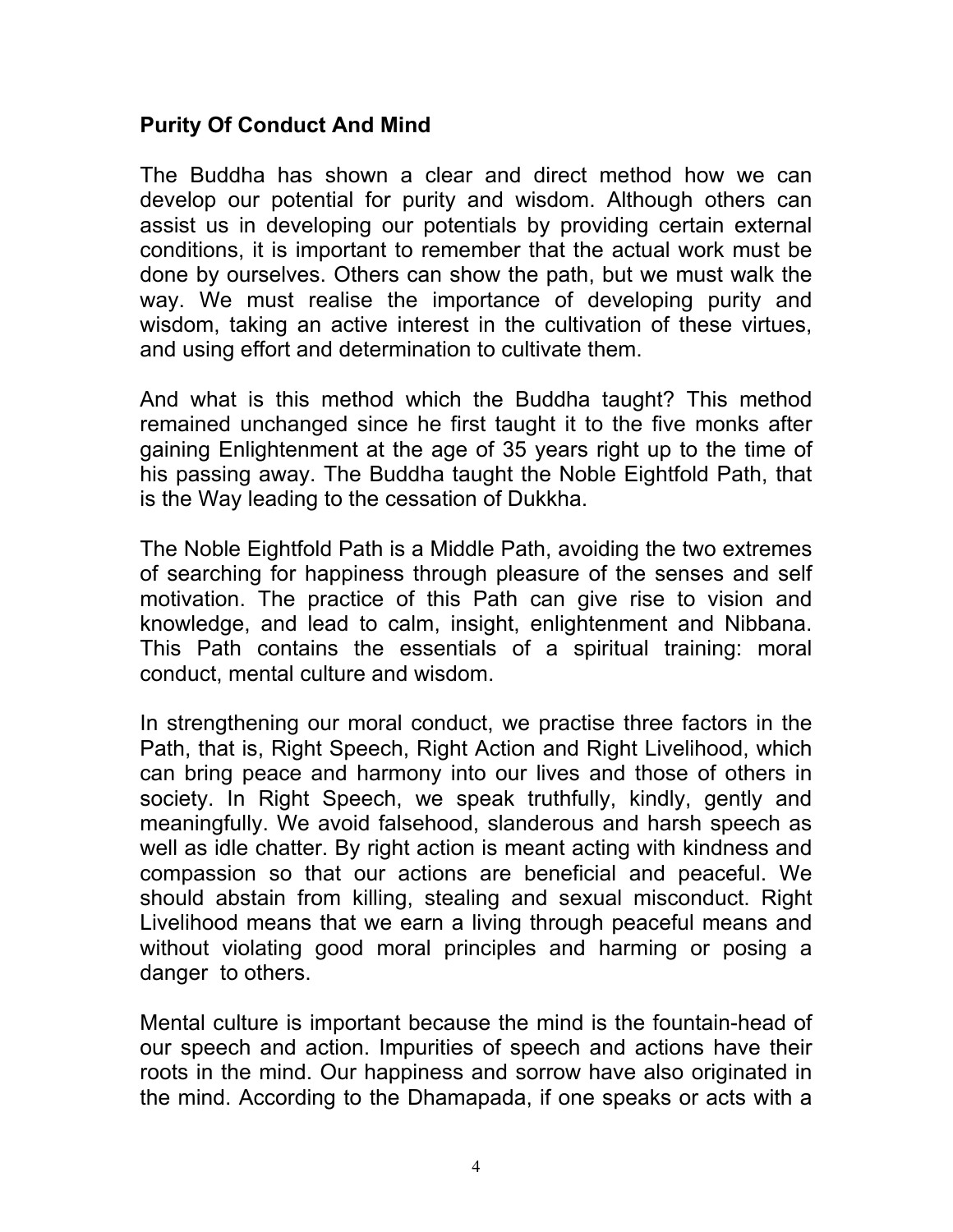#### **Purity Of Conduct And Mind**

The Buddha has shown a clear and direct method how we can develop our potential for purity and wisdom. Although others can assist us in developing our potentials by providing certain external conditions, it is important to remember that the actual work must be done by ourselves. Others can show the path, but we must walk the way. We must realise the importance of developing purity and wisdom, taking an active interest in the cultivation of these virtues, and using effort and determination to cultivate them.

And what is this method which the Buddha taught? This method remained unchanged since he first taught it to the five monks after gaining Enlightenment at the age of 35 years right up to the time of his passing away. The Buddha taught the Noble Eightfold Path, that is the Way leading to the cessation of Dukkha.

The Noble Eightfold Path is a Middle Path, avoiding the two extremes of searching for happiness through pleasure of the senses and self motivation. The practice of this Path can give rise to vision and knowledge, and lead to calm, insight, enlightenment and Nibbana. This Path contains the essentials of a spiritual training: moral conduct, mental culture and wisdom.

In strengthening our moral conduct, we practise three factors in the Path, that is, Right Speech, Right Action and Right Livelihood, which can bring peace and harmony into our lives and those of others in society. In Right Speech, we speak truthfully, kindly, gently and meaningfully. We avoid falsehood, slanderous and harsh speech as well as idle chatter. By right action is meant acting with kindness and compassion so that our actions are beneficial and peaceful. We should abstain from killing, stealing and sexual misconduct. Right Livelihood means that we earn a living through peaceful means and without violating good moral principles and harming or posing a danger to others.

Mental culture is important because the mind is the fountain-head of our speech and action. Impurities of speech and actions have their roots in the mind. Our happiness and sorrow have also originated in the mind. According to the Dhamapada, if one speaks or acts with a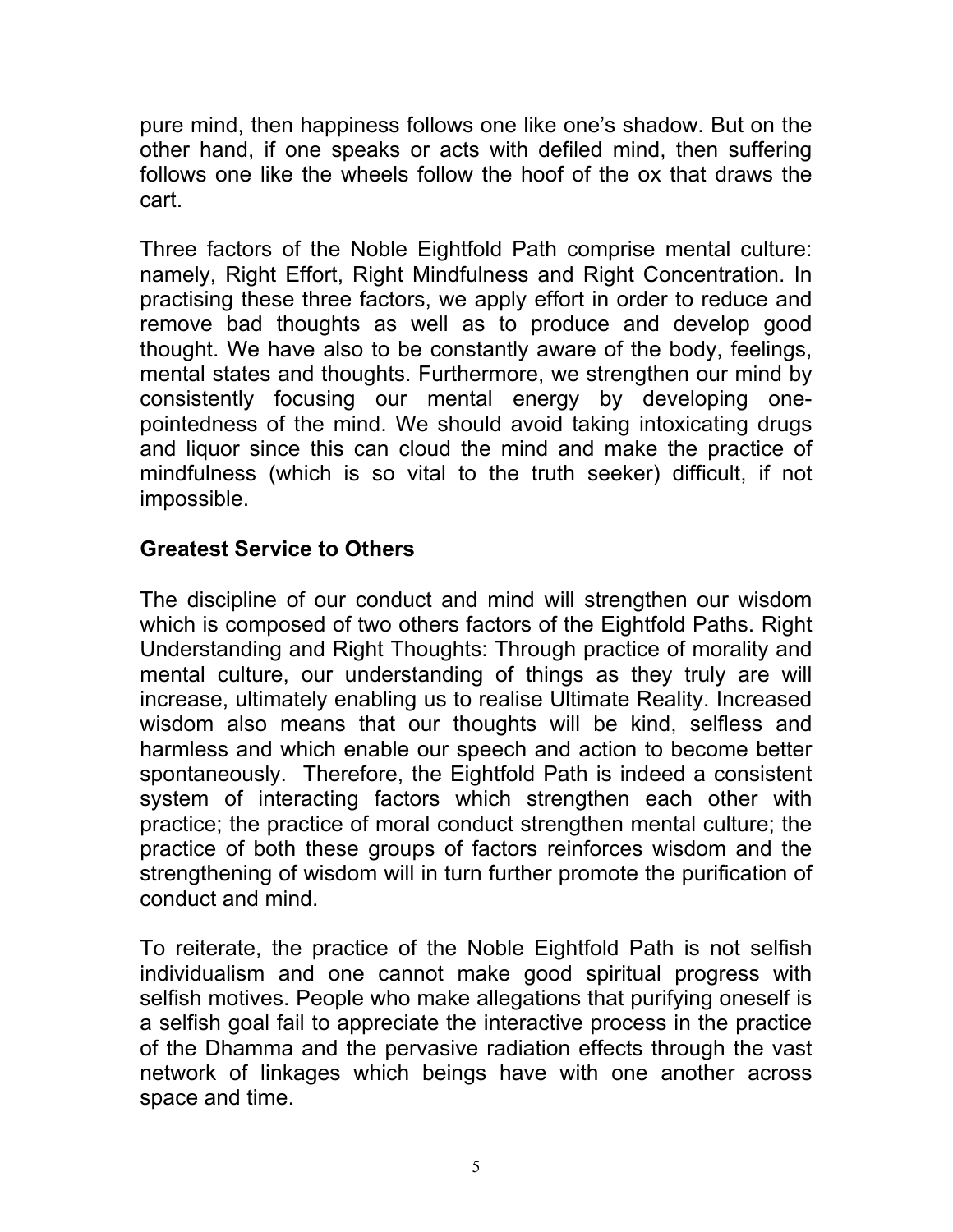pure mind, then happiness follows one like one's shadow. But on the other hand, if one speaks or acts with defiled mind, then suffering follows one like the wheels follow the hoof of the ox that draws the cart.

Three factors of the Noble Eightfold Path comprise mental culture: namely, Right Effort, Right Mindfulness and Right Concentration. In practising these three factors, we apply effort in order to reduce and remove bad thoughts as well as to produce and develop good thought. We have also to be constantly aware of the body, feelings, mental states and thoughts. Furthermore, we strengthen our mind by consistently focusing our mental energy by developing onepointedness of the mind. We should avoid taking intoxicating drugs and liquor since this can cloud the mind and make the practice of mindfulness (which is so vital to the truth seeker) difficult, if not impossible.

## **Greatest Service to Others**

The discipline of our conduct and mind will strengthen our wisdom which is composed of two others factors of the Eightfold Paths. Right Understanding and Right Thoughts: Through practice of morality and mental culture, our understanding of things as they truly are will increase, ultimately enabling us to realise Ultimate Reality. Increased wisdom also means that our thoughts will be kind, selfless and harmless and which enable our speech and action to become better spontaneously. Therefore, the Eightfold Path is indeed a consistent system of interacting factors which strengthen each other with practice; the practice of moral conduct strengthen mental culture; the practice of both these groups of factors reinforces wisdom and the strengthening of wisdom will in turn further promote the purification of conduct and mind.

To reiterate, the practice of the Noble Eightfold Path is not selfish individualism and one cannot make good spiritual progress with selfish motives. People who make allegations that purifying oneself is a selfish goal fail to appreciate the interactive process in the practice of the Dhamma and the pervasive radiation effects through the vast network of linkages which beings have with one another across space and time.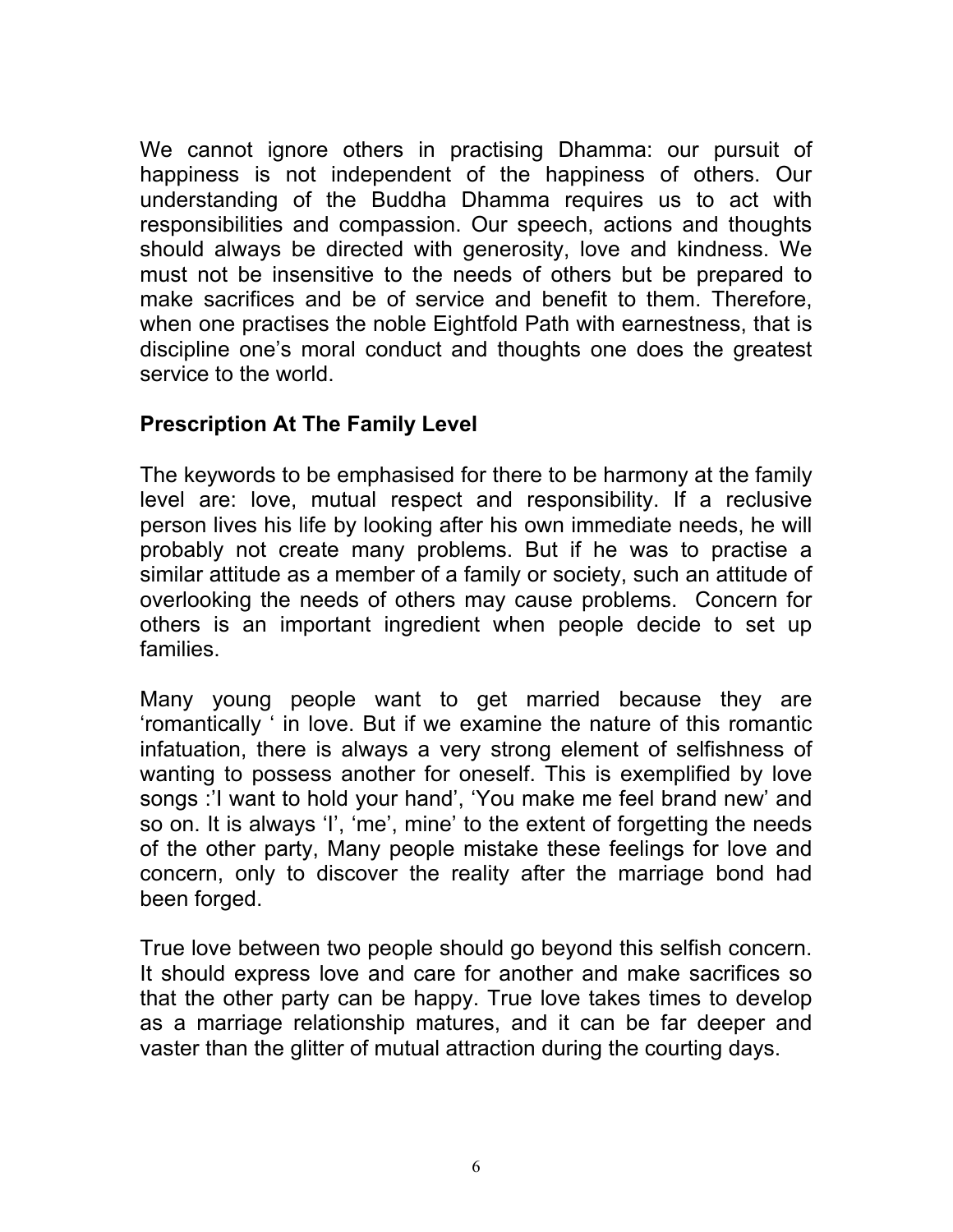We cannot ignore others in practising Dhamma: our pursuit of happiness is not independent of the happiness of others. Our understanding of the Buddha Dhamma requires us to act with responsibilities and compassion. Our speech, actions and thoughts should always be directed with generosity, love and kindness. We must not be insensitive to the needs of others but be prepared to make sacrifices and be of service and benefit to them. Therefore, when one practises the noble Eightfold Path with earnestness, that is discipline one's moral conduct and thoughts one does the greatest service to the world.

#### **Prescription At The Family Level**

The keywords to be emphasised for there to be harmony at the family level are: love, mutual respect and responsibility. If a reclusive person lives his life by looking after his own immediate needs, he will probably not create many problems. But if he was to practise a similar attitude as a member of a family or society, such an attitude of overlooking the needs of others may cause problems. Concern for others is an important ingredient when people decide to set up families.

Many young people want to get married because they are 'romantically ' in love. But if we examine the nature of this romantic infatuation, there is always a very strong element of selfishness of wanting to possess another for oneself. This is exemplified by love songs :'I want to hold your hand', 'You make me feel brand new' and so on. It is always 'I', 'me', mine' to the extent of forgetting the needs of the other party, Many people mistake these feelings for love and concern, only to discover the reality after the marriage bond had been forged.

True love between two people should go beyond this selfish concern. It should express love and care for another and make sacrifices so that the other party can be happy. True love takes times to develop as a marriage relationship matures, and it can be far deeper and vaster than the glitter of mutual attraction during the courting days.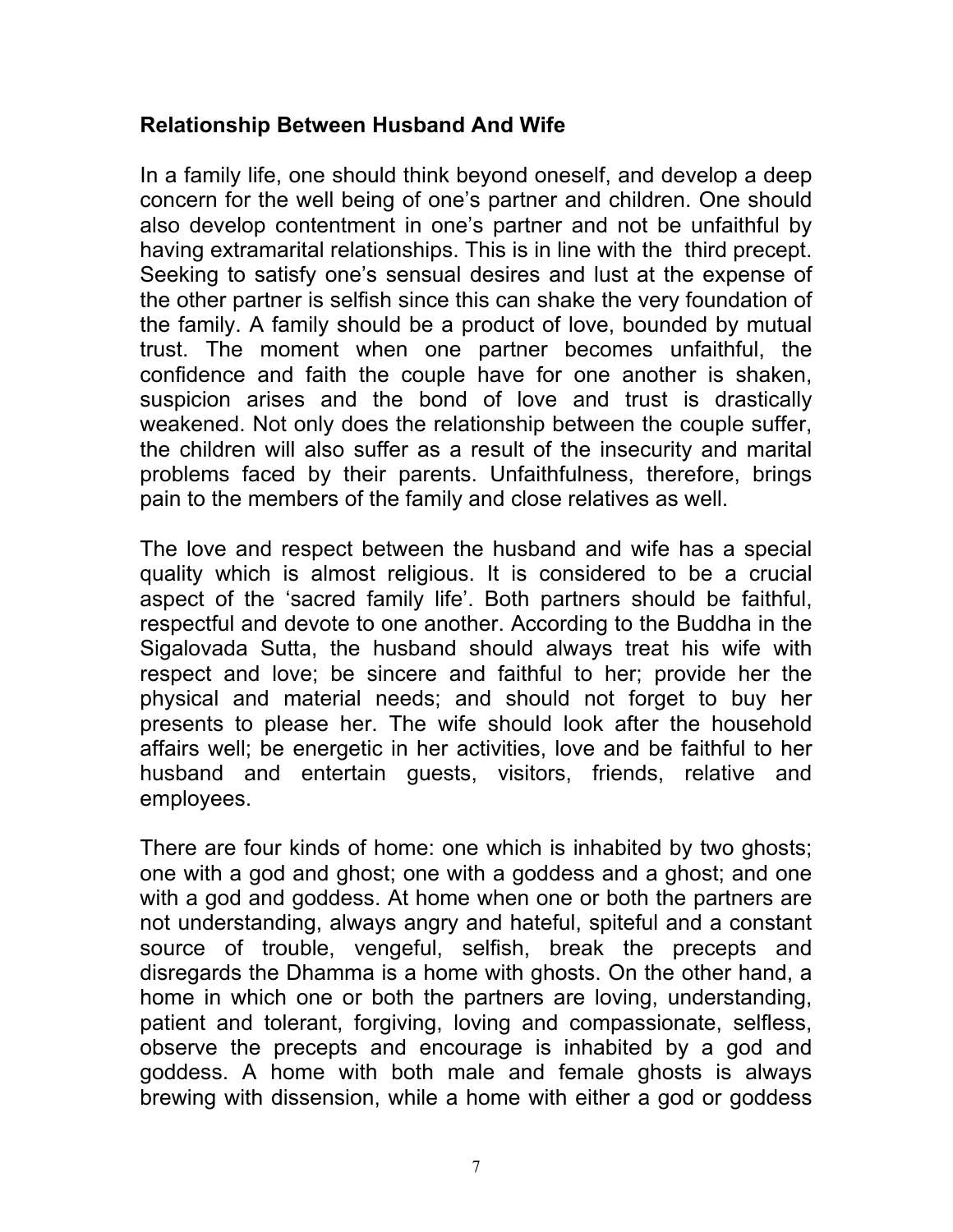#### **Relationship Between Husband And Wife**

In a family life, one should think beyond oneself, and develop a deep concern for the well being of one's partner and children. One should also develop contentment in one's partner and not be unfaithful by having extramarital relationships. This is in line with the third precept. Seeking to satisfy one's sensual desires and lust at the expense of the other partner is selfish since this can shake the very foundation of the family. A family should be a product of love, bounded by mutual trust. The moment when one partner becomes unfaithful, the confidence and faith the couple have for one another is shaken, suspicion arises and the bond of love and trust is drastically weakened. Not only does the relationship between the couple suffer, the children will also suffer as a result of the insecurity and marital problems faced by their parents. Unfaithfulness, therefore, brings pain to the members of the family and close relatives as well.

The love and respect between the husband and wife has a special quality which is almost religious. It is considered to be a crucial aspect of the 'sacred family life'. Both partners should be faithful, respectful and devote to one another. According to the Buddha in the Sigalovada Sutta, the husband should always treat his wife with respect and love; be sincere and faithful to her; provide her the physical and material needs; and should not forget to buy her presents to please her. The wife should look after the household affairs well; be energetic in her activities, love and be faithful to her husband and entertain guests, visitors, friends, relative and employees.

There are four kinds of home: one which is inhabited by two ghosts; one with a god and ghost; one with a goddess and a ghost; and one with a god and goddess. At home when one or both the partners are not understanding, always angry and hateful, spiteful and a constant source of trouble, vengeful, selfish, break the precepts and disregards the Dhamma is a home with ghosts. On the other hand, a home in which one or both the partners are loving, understanding, patient and tolerant, forgiving, loving and compassionate, selfless, observe the precepts and encourage is inhabited by a god and goddess. A home with both male and female ghosts is always brewing with dissension, while a home with either a god or goddess